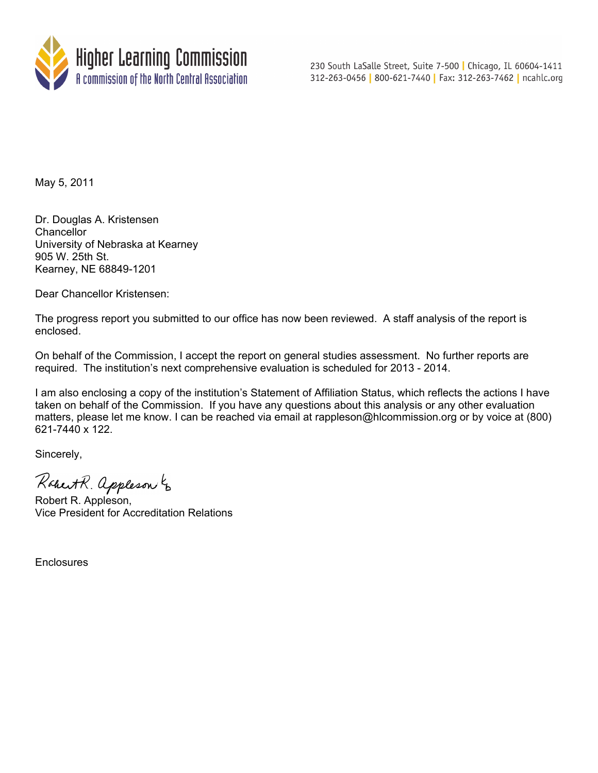

230 South LaSalle Street, Suite 7-500 | Chicago, IL 60604-1411 312-263-0456 | 800-621-7440 | Fax: 312-263-7462 | ncahlc.org

May 5, 2011

Dr. Douglas A. Kristensen **Chancellor** University of Nebraska at Kearney 905 W. 25th St. Kearney, NE 68849-1201

Dear Chancellor Kristensen:

The progress report you submitted to our office has now been reviewed. A staff analysis of the report is enclosed.

On behalf of the Commission, I accept the report on general studies assessment. No further reports are required. The institution's next comprehensive evaluation is scheduled for 2013 - 2014.

I am also enclosing a copy of the institution's Statement of Affiliation Status, which reflects the actions I have taken on behalf of the Commission. If you have any questions about this analysis or any other evaluation matters, please let me know. I can be reached via email at rappleson@hlcommission.org or by voice at (800) 621-7440 x 122.

Sincerely,

Robert R. appleson to

Robert R. Appleson, Vice President for Accreditation Relations

Enclosures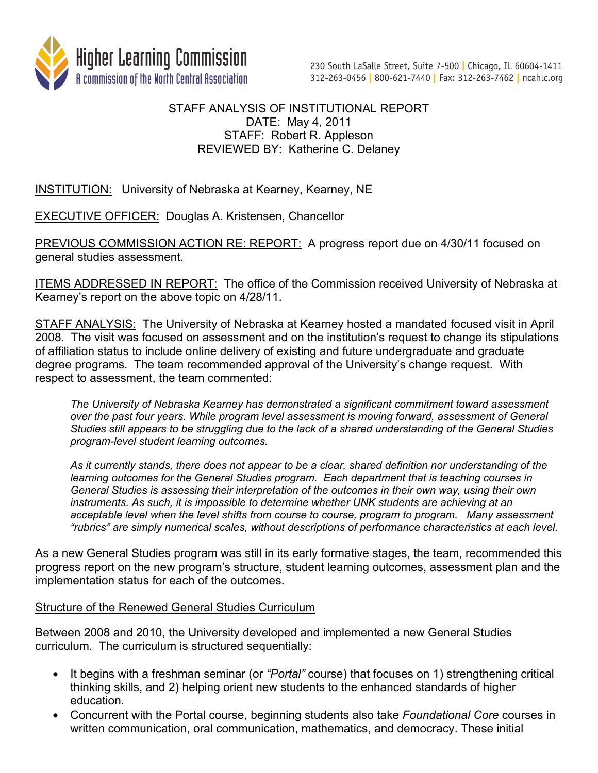

# STAFF ANALYSIS OF INSTITUTIONAL REPORT DATE: May 4, 2011 STAFF: Robert R. Appleson REVIEWED BY: Katherine C. Delaney

INSTITUTION: University of Nebraska at Kearney, Kearney, NE

EXECUTIVE OFFICER: Douglas A. Kristensen, Chancellor

PREVIOUS COMMISSION ACTION RE: REPORT: A progress report due on 4/30/11 focused on general studies assessment.

**ITEMS ADDRESSED IN REPORT:** The office of the Commission received University of Nebraska at Kearney's report on the above topic on 4/28/11.

STAFF ANALYSIS: The University of Nebraska at Kearney hosted a mandated focused visit in April 2008. The visit was focused on assessment and on the institution's request to change its stipulations of affiliation status to include online delivery of existing and future undergraduate and graduate degree programs. The team recommended approval of the University's change request. With respect to assessment, the team commented:

*The University of Nebraska Kearney has demonstrated a significant commitment toward assessment over the past four years. While program level assessment is moving forward, assessment of General Studies still appears to be struggling due to the lack of a shared understanding of the General Studies program-level student learning outcomes.* 

*As it currently stands, there does not appear to be a clear, shared definition nor understanding of the learning outcomes for the General Studies program. Each department that is teaching courses in General Studies is assessing their interpretation of the outcomes in their own way, using their own instruments. As such, it is impossible to determine whether UNK students are achieving at an acceptable level when the level shifts from course to course, program to program. Many assessment "rubrics" are simply numerical scales, without descriptions of performance characteristics at each level.*

As a new General Studies program was still in its early formative stages, the team, recommended this progress report on the new program's structure, student learning outcomes, assessment plan and the implementation status for each of the outcomes.

# Structure of the Renewed General Studies Curriculum

Between 2008 and 2010, the University developed and implemented a new General Studies curriculum. The curriculum is structured sequentially:

- It begins with a freshman seminar (or *"Portal"* course) that focuses on 1) strengthening critical thinking skills, and 2) helping orient new students to the enhanced standards of higher education.
- Concurrent with the Portal course, beginning students also take *Foundational Core* courses in written communication, oral communication, mathematics, and democracy. These initial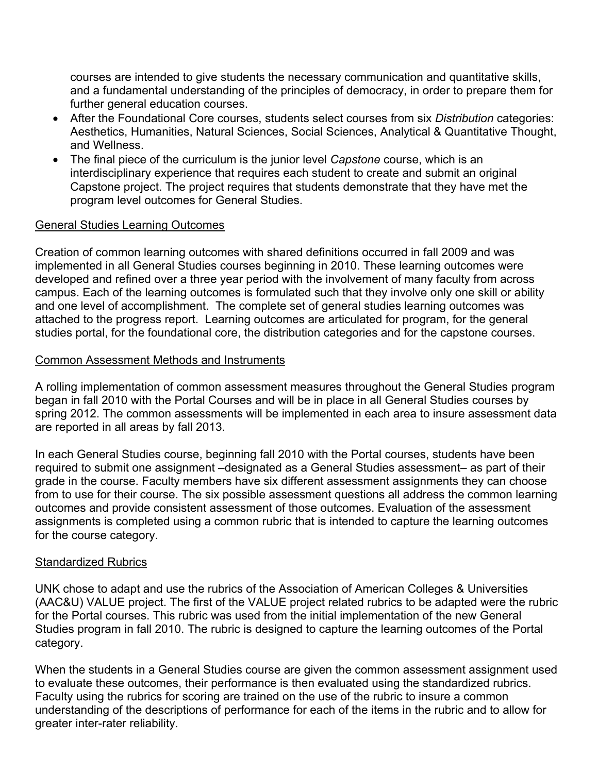courses are intended to give students the necessary communication and quantitative skills, and a fundamental understanding of the principles of democracy, in order to prepare them for further general education courses.

- After the Foundational Core courses, students select courses from six *Distribution* categories: Aesthetics, Humanities, Natural Sciences, Social Sciences, Analytical & Quantitative Thought, and Wellness.
- The final piece of the curriculum is the junior level *Capstone* course, which is an interdisciplinary experience that requires each student to create and submit an original Capstone project. The project requires that students demonstrate that they have met the program level outcomes for General Studies.

### General Studies Learning Outcomes

Creation of common learning outcomes with shared definitions occurred in fall 2009 and was implemented in all General Studies courses beginning in 2010. These learning outcomes were developed and refined over a three year period with the involvement of many faculty from across campus. Each of the learning outcomes is formulated such that they involve only one skill or ability and one level of accomplishment. The complete set of general studies learning outcomes was attached to the progress report. Learning outcomes are articulated for program, for the general studies portal, for the foundational core, the distribution categories and for the capstone courses.

### Common Assessment Methods and Instruments

A rolling implementation of common assessment measures throughout the General Studies program began in fall 2010 with the Portal Courses and will be in place in all General Studies courses by spring 2012. The common assessments will be implemented in each area to insure assessment data are reported in all areas by fall 2013.

In each General Studies course, beginning fall 2010 with the Portal courses, students have been required to submit one assignment –designated as a General Studies assessment– as part of their grade in the course. Faculty members have six different assessment assignments they can choose from to use for their course. The six possible assessment questions all address the common learning outcomes and provide consistent assessment of those outcomes. Evaluation of the assessment assignments is completed using a common rubric that is intended to capture the learning outcomes for the course category.

# Standardized Rubrics

UNK chose to adapt and use the rubrics of the Association of American Colleges & Universities (AAC&U) VALUE project. The first of the VALUE project related rubrics to be adapted were the rubric for the Portal courses. This rubric was used from the initial implementation of the new General Studies program in fall 2010. The rubric is designed to capture the learning outcomes of the Portal category.

When the students in a General Studies course are given the common assessment assignment used to evaluate these outcomes, their performance is then evaluated using the standardized rubrics. Faculty using the rubrics for scoring are trained on the use of the rubric to insure a common understanding of the descriptions of performance for each of the items in the rubric and to allow for greater inter-rater reliability.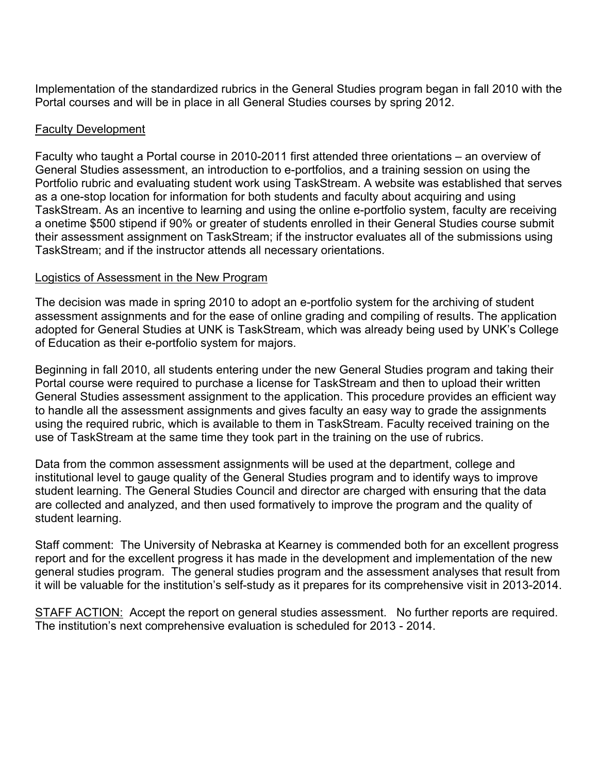Implementation of the standardized rubrics in the General Studies program began in fall 2010 with the Portal courses and will be in place in all General Studies courses by spring 2012.

### Faculty Development

Faculty who taught a Portal course in 2010-2011 first attended three orientations – an overview of General Studies assessment, an introduction to e-portfolios, and a training session on using the Portfolio rubric and evaluating student work using TaskStream. A website was established that serves as a one-stop location for information for both students and faculty about acquiring and using TaskStream. As an incentive to learning and using the online e-portfolio system, faculty are receiving a onetime \$500 stipend if 90% or greater of students enrolled in their General Studies course submit their assessment assignment on TaskStream; if the instructor evaluates all of the submissions using TaskStream; and if the instructor attends all necessary orientations.

## Logistics of Assessment in the New Program

The decision was made in spring 2010 to adopt an e-portfolio system for the archiving of student assessment assignments and for the ease of online grading and compiling of results. The application adopted for General Studies at UNK is TaskStream, which was already being used by UNK's College of Education as their e-portfolio system for majors.

Beginning in fall 2010, all students entering under the new General Studies program and taking their Portal course were required to purchase a license for TaskStream and then to upload their written General Studies assessment assignment to the application. This procedure provides an efficient way to handle all the assessment assignments and gives faculty an easy way to grade the assignments using the required rubric, which is available to them in TaskStream. Faculty received training on the use of TaskStream at the same time they took part in the training on the use of rubrics.

Data from the common assessment assignments will be used at the department, college and institutional level to gauge quality of the General Studies program and to identify ways to improve student learning. The General Studies Council and director are charged with ensuring that the data are collected and analyzed, and then used formatively to improve the program and the quality of student learning.

Staff comment: The University of Nebraska at Kearney is commended both for an excellent progress report and for the excellent progress it has made in the development and implementation of the new general studies program. The general studies program and the assessment analyses that result from it will be valuable for the institution's self-study as it prepares for its comprehensive visit in 2013-2014.

STAFF ACTION: Accept the report on general studies assessment. No further reports are required. The institution's next comprehensive evaluation is scheduled for 2013 - 2014.